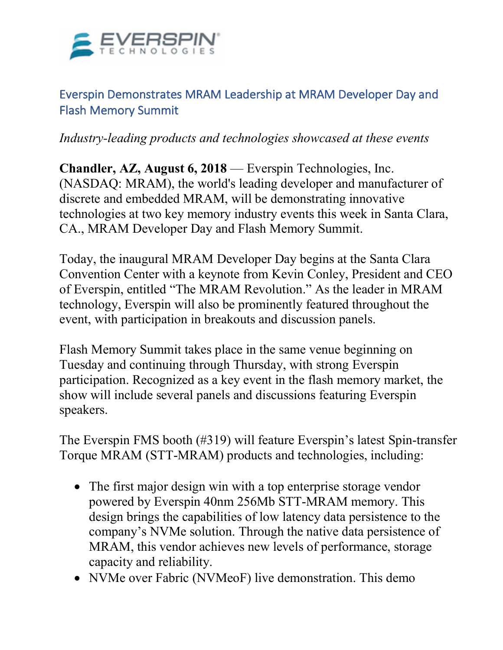

## Everspin Demonstrates MRAM Leadership at MRAM Developer Day and Flash Memory Summit

*Industry-leading products and technologies showcased at these events*

**Chandler, AZ, August 6, 2018** — Everspin Technologies, Inc. (NASDAQ: MRAM), the world's leading developer and manufacturer of discrete and embedded MRAM, will be demonstrating innovative technologies at two key memory industry events this week in Santa Clara, CA., MRAM Developer Day and Flash Memory Summit.

Today, the inaugural MRAM Developer Day begins at the Santa Clara Convention Center with a keynote from Kevin Conley, President and CEO of Everspin, entitled "The MRAM Revolution." As the leader in MRAM technology, Everspin will also be prominently featured throughout the event, with participation in breakouts and discussion panels.

Flash Memory Summit takes place in the same venue beginning on Tuesday and continuing through Thursday, with strong Everspin participation. Recognized as a key event in the flash memory market, the show will include several panels and discussions featuring Everspin speakers.

The Everspin FMS booth (#319) will feature Everspin's latest Spin-transfer Torque MRAM (STT-MRAM) products and technologies, including:

- The first major design win with a top enterprise storage vendor powered by Everspin 40nm 256Mb STT-MRAM memory. This design brings the capabilities of low latency data persistence to the company's NVMe solution. Through the native data persistence of MRAM, this vendor achieves new levels of performance, storage capacity and reliability.
- NVMe over Fabric (NVMeoF) live demonstration. This demo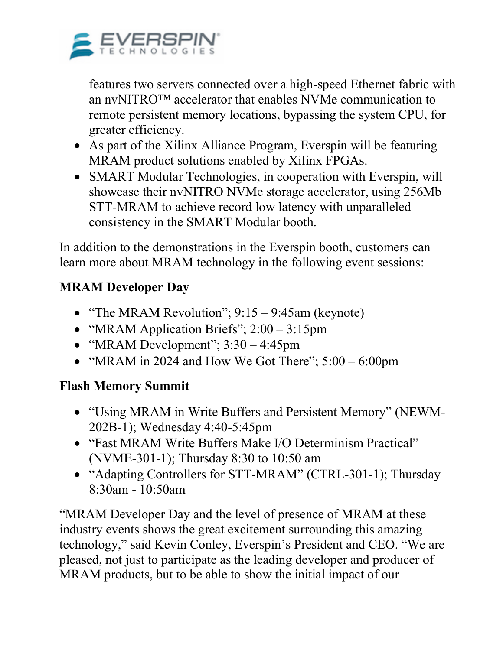

features two servers connected over a high-speed Ethernet fabric with an nvNITRO™ accelerator that enables NVMe communication to remote persistent memory locations, bypassing the system CPU, for greater efficiency.

- As part of the Xilinx Alliance Program, Everspin will be featuring MRAM product solutions enabled by Xilinx FPGAs.
- SMART Modular Technologies, in cooperation with Everspin, will showcase their nvNITRO NVMe storage accelerator, using 256Mb STT-MRAM to achieve record low latency with unparalleled consistency in the SMART Modular booth.

In addition to the demonstrations in the Everspin booth, customers can learn more about MRAM technology in the following event sessions:

# **MRAM Developer Day**

- "The MRAM Revolution"; 9:15 9:45am (keynote)
- "MRAM Application Briefs";  $2:00 3:15$ pm
- "MRAM Development";  $3:30 4:45$ pm
- "MRAM in 2024 and How We Got There";  $5:00 6:00$ pm

### **Flash Memory Summit**

- "Using MRAM in Write Buffers and Persistent Memory" (NEWM-202B-1); Wednesday 4:40-5:45pm
- "Fast MRAM Write Buffers Make I/O Determinism Practical" (NVME-301-1); Thursday 8:30 to 10:50 am
- "Adapting Controllers for STT-MRAM" (CTRL-301-1); Thursday 8:30am - 10:50am

"MRAM Developer Day and the level of presence of MRAM at these industry events shows the great excitement surrounding this amazing technology," said Kevin Conley, Everspin's President and CEO. "We are pleased, not just to participate as the leading developer and producer of MRAM products, but to be able to show the initial impact of our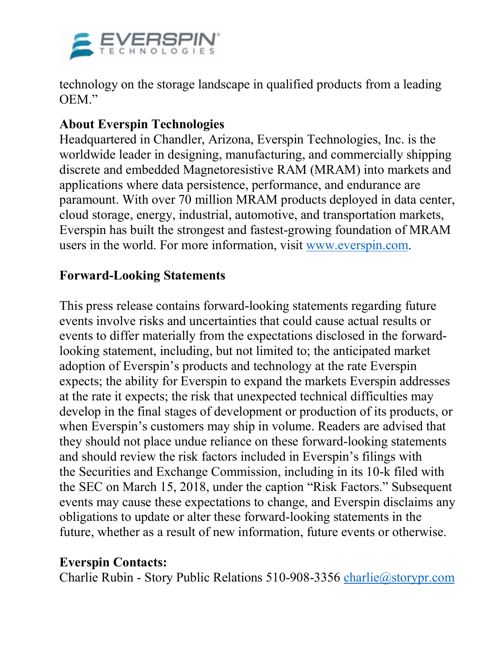

technology on the storage landscape in qualified products from a leading OEM."

### **About Everspin Technologies**

Headquartered in Chandler, Arizona, Everspin Technologies, Inc. is the worldwide leader in designing, manufacturing, and commercially shipping discrete and embedded Magnetoresistive RAM (MRAM) into markets and applications where data persistence, performance, and endurance are paramount. With over 70 million MRAM products deployed in data center, cloud storage, energy, industrial, automotive, and transportation markets, Everspin has built the strongest and fastest-growing foundation of MRAM users in the world. For more information, visit www.everspin.com.

#### **Forward-Looking Statements**

This press release contains forward-looking statements regarding future events involve risks and uncertainties that could cause actual results or events to differ materially from the expectations disclosed in the forwardlooking statement, including, but not limited to; the anticipated market adoption of Everspin's products and technology at the rate Everspin expects; the ability for Everspin to expand the markets Everspin addresses at the rate it expects; the risk that unexpected technical difficulties may develop in the final stages of development or production of its products, or when Everspin's customers may ship in volume. Readers are advised that they should not place undue reliance on these forward-looking statements and should review the risk factors included in Everspin's filings with the Securities and Exchange Commission, including in its 10-k filed with the SEC on March 15, 2018, under the caption "Risk Factors." Subsequent events may cause these expectations to change, and Everspin disclaims any obligations to update or alter these forward-looking statements in the future, whether as a result of new information, future events or otherwise.

#### **Everspin Contacts:**

Charlie Rubin - Story Public Relations 510-908-3356 charlie@storypr.com